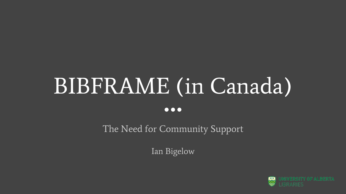# BIBFRAME (in Canada)  $\bullet\bullet\bullet$

The Need for Community Support

Ian Bigelow

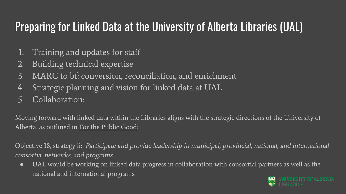## Preparing for Linked Data at the University of Alberta Libraries (UAL)

- 1. Training and updates for staff
- 2. Building technical expertise
- 3. MARC to bf: conversion, reconciliation, and enrichment
- 4. Strategic planning and vision for linked data at UAL
- 5. Collaboration:

Moving forward with linked data within the Libraries aligns with the strategic directions of the University of Alberta, as outlined in [For the Public Good](https://www.ualberta.ca/strategic-plan):

Objective 18, strategy ii: Participate and provide leadership in municipal, provincial, national, and international consortia, networks, and programs.

● UAL would be working on linked data progress in collaboration with consortial partners as well as the national and international programs.IY OF AL RERTA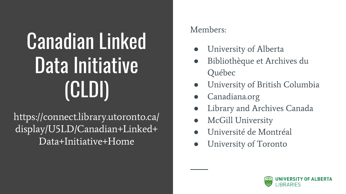# Canadian Linked Data Initiative (CLDI)

https://connect.library.utoronto.ca/ display/U5LD/Canadian+Linked+ Data+Initiative+Home

### Members:

- University of Alberta
- Bibliothèque et Archives du Québec
- University of British Columbia
- Canadiana.org
- **Library and Archives Canada**
- McGill University
- Université de Montréal
- University of Toronto

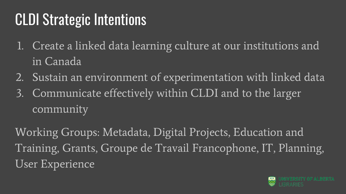# CLDI Strategic Intentions

- 1. Create a linked data learning culture at our institutions and in Canada
- 2. Sustain an environment of experimentation with linked data
- 3. Communicate effectively within CLDI and to the larger community

Working Groups: Metadata, Digital Projects, Education and Training, Grants, Groupe de Travail Francophone, IT, Planning, User Experience

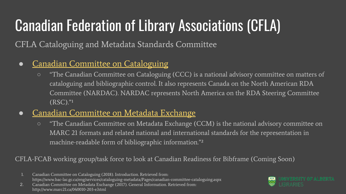# Canadian Federation of Library Associations (CFLA)

CFLA Cataloguing and Metadata Standards Committee

- [Canadian Committee on Cataloguing](https://www.bac-lac.gc.ca/eng/services/cataloguing-metadata/Pages/canadian-committee-cataloguing.aspx)
	- "The Canadian Committee on Cataloguing (CCC) is a national advisory committee on matters of cataloguing and bibliographic control. It also represents Canada on the North American RDA Committee (NARDAC). NARDAC represents North America on the RDA Steering Committee  $(RSC).$ "
- [Canadian Committee on Metadata Exchange](http://www.marc21.ca/040010-203-e.html)
	- "The Canadian Committee on Metadata Exchange (CCM) is the national advisory committee on MARC 21 formats and related national and international standards for the representation in machine-readable form of bibliographic information."<sup>2</sup>

### CFLA-FCAB working group/task force to look at Canadian Readiness for Bibframe (Coming Soon)

1. Canadian Committee on Cataloguing (2018). Introduction. Retrieved from: https://www.bac-lac.gc.ca/eng/services/cataloguing-metadata/Pages/canadian-committee-cataloguing.aspx



<sup>2.</sup> Canadian Committee on Metadata Exchange (2017). General Information. Retrieved from: http://www.marc21.ca/040010-203-e.html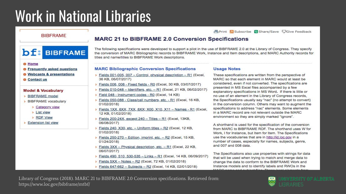# **Work in National Libraries**

**昌Print Subscribe ② Share/Save QGive Feedback** 

#### **BIBFRAME**

**bf:** BIBFRAME

#### **O** Home

- **O** Frequently asked questions
- **O** Webcasts & presentations
- **S** Contact us

#### **Model & Vocabulary**

- > BIBFRAME model
- > BIBFRAME vocabulary
	- > Category view
	- > List view
	- > RDF View
- > Extension list view

#### **MARC 21 to BIBFRAME 2.0 Conversion Specifications**

The following specifications were developed to support a pilot in the use of BIBFRAME 2.0 at the Library of Congress. They specify the conversion of MARC Bibliographic records to BIBFRAME Work, Instance and Item descriptions, and MARC Authority records for titles and name/titles to BIBFRAME Work descriptions.

#### **MARC Bibliographic Conversion Specifications**

- > Fields 001-005, 007 Control, physical description R1 (Excel, 36 KB, 06/07/2017)
- Fields 006, 008 Fixed fields R0 (Excel, 30 KB, 03/07/2017)
- Fields 010-048 Identifiers, etc. R1 (Excel, 21 KB, 06/02/2017)
- Field 048 Instrument codes R0 (Excel, 14 KB)
- > Fields 050-088 Class/call numbers, etc. R1 (Excel, 16 KB, 01/02/2018)
- > Fields 1XX, 6XX, 7XX, 8XX; X00, X10, X11 Names R1 (Excel, 12 KB, 01/02/2018)
- > Fields 200-24X, except 240 Titles R1 (Excel, 13KB, 06/08/2017)
- > Fields 240, X30, etc. Uniform titles R2 (Excel, 12 KB, 01/02/2018)
- > Fields 250-270 Edition, imprint, etc. R2 (Excel, 15 KB, 01/24/2018)
- > Fields 3XX Physical description, etc. R1 (Excel, 22 KB, 06/07/2017)
- > Fields 490, 510, 530-535 Links R1 (Excel, 14 KB, 06/09/2017)
- Fields 5XX Notes R2 (Excel, 72 KB, 01/02/2018)
- > Fields 647-662 Subjects R2 (Excel, 14 KB, 02/01/2018)

#### **Usage Notes**

These specifications are written from the perspective of MARC so that each element in MARC would at least be considered, even if not converted. The specifications are presented in MS Excel files accompanied by a few explanatory specifications in MS Word. If there is little or no use of an element in the Library of Congress records, the Specifications usually say "nac" (no attempt to convert) in the conversion column. Others may want to augment the specifications to address "nac" elements. Some elements in a MARC record are not relevant outside the MARC environment so they are simply marked "ignore".

A shorthand is used for the specification of the conversion from MARC to BIBFRAME RDF. The shorthand uses W for Work, I for Instance, but Item for Item. The Specifications use the vocabularies that are in http://id.loc.gov in a number of cases, especially for names, subjects, genre, and 007 and 008 data.

The Specifications also use properties with strings for data that will be used when trying to match and merge data to change the data to conform to the BIBFRAME Work and Instance models and to identify labels and RWOs in the

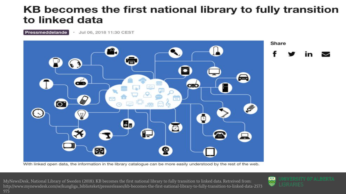### KB becomes the first national library to fully transition to linked data

Pressmeddelande Jul 06, 2018 11:30 CEST



With linked open data, the information in the library catalogue can be more easily understood by the rest of the web.

MyNewsDesk, National Library of Sweden (2018). KB becomes the first national library to fully transition to linked data. Retreived from: http://www.mynewsdesk.com/se/kungliga\_biblioteket/pressreleases/kb-becomes-the-first-national-library-to-fully-transition-to-linked-data-2573 975

UNIVERSITY OF ALBERTA 四 seege **LIBRARIES**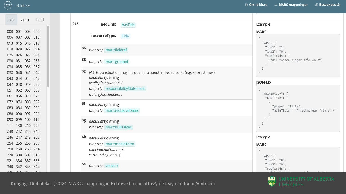

| bib |                 | auth hold       |  |
|-----|-----------------|-----------------|--|
|     |                 | 000 001 003 005 |  |
|     |                 | 006 007 008 010 |  |
|     |                 | 013 015 016 017 |  |
|     |                 | 018 020 022 024 |  |
|     |                 | 025 026 027 028 |  |
|     | 030 031 032 033 |                 |  |
|     | 034 035 036 037 |                 |  |
|     |                 | 038 040 041 042 |  |
|     |                 | 043 044 045 046 |  |
|     |                 | 047 048 049 050 |  |
|     | 051 052 055 060 |                 |  |
|     | 061 066 070 071 |                 |  |
|     | 072 074 080 082 |                 |  |
|     | 083 084 085 086 |                 |  |
|     | 088 090 092 096 |                 |  |
|     | 098 099 100 110 |                 |  |
|     | 111 130 210 222 |                 |  |
|     | 240 242 243 245 |                 |  |
|     | 246 247 249 250 |                 |  |
|     | 254 255 256 257 |                 |  |
|     | 258 260 263 264 |                 |  |
|     | 270 300 307 310 |                 |  |
|     | 321 336 337 338 |                 |  |
|     | 340 342 343 344 |                 |  |
|     | 345 346 347 349 |                 |  |

| 245<br>addLink:<br>hasTitle<br>resourceType:                                                               | Example<br><b>MARC</b>                         |  |
|------------------------------------------------------------------------------------------------------------|------------------------------------------------|--|
| Title                                                                                                      | "245": {                                       |  |
| \$6<br>property: marc:fieldref                                                                             | "ind1": "1",<br>"ind2": "0",<br>"subfields": [ |  |
| \$8<br>property: marc:groupid                                                                              | {"a": "Anteckningar från en ö"}                |  |
| \$c<br>NOTE: punctuation may include data about included parts (e.g. short stories)<br>aboutEntity: ?thing |                                                |  |
| leadingPunctuation: /                                                                                      | <b>JSON-LD</b>                                 |  |
| property: responsibilityStatement                                                                          |                                                |  |
| trailingPunctuation:.                                                                                      | "mainEntity": {<br>"hasTitle": [               |  |
| \$f<br>aboutEntity: ?thing                                                                                 |                                                |  |
|                                                                                                            | "@type": "Title",                              |  |
| property: marc:inclusiveDates                                                                              | "mainTitle": "Anteckningar från en ö"          |  |
| \$g<br>aboutEntity: ?thing                                                                                 |                                                |  |
| property: marc:bulkDates                                                                                   |                                                |  |
|                                                                                                            |                                                |  |
| \$h aboutEntity: ?thing                                                                                    | Example                                        |  |
| property: marc:mediaTerm                                                                                   | <b>MARC</b>                                    |  |
| punctuationChars: =: /.                                                                                    |                                                |  |
| surroundingChars: []                                                                                       | $"245"$ : {                                    |  |
|                                                                                                            | "ind1": "0",                                   |  |
| \$s<br>property: version                                                                                   | "ind2": "0",                                   |  |
|                                                                                                            | "subfields": [                                 |  |

Kungliga Biblioteket (2018). MARC-mappningar. Retrieved from: https://id.kb.se/marcframe/#bib-245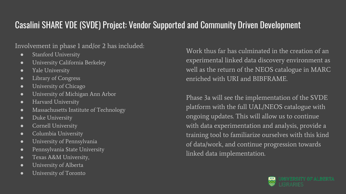### Casalini SHARE VDE (SVDE) Project: Vendor Supported and Community Driven Development

### Involvement in phase 1 and/or 2 has included:

- **•** Stanford University
- University California Berkeley
- Yale University
- Library of Congress
- University of Chicago
- University of Michigan Ann Arbor
- Harvard University
- Massachusetts Institute of Technology
- Duke University
- Cornell University
- Columbia University
- University of Pennsylvania
- Pennsylvania State University
- Texas A&M University,
- University of Alberta
- University of Toronto

Work thus far has culminated in the creation of an experimental linked data discovery environment as well as the return of the NEOS catalogue in MARC enriched with URI and BIBFRAME.

Phase 3a will see the implementation of the SVDE platform with the full UAL/NEOS catalogue with ongoing updates. This will allow us to continue with data experimentation and analysis, provide a training tool to familiarize ourselves with this kind of data/work, and continue progression towards linked data implementation.

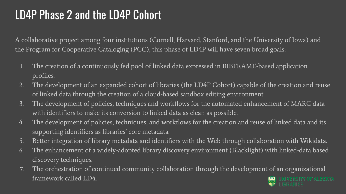## LD4P Phase 2 and the LD4P Cohort

A collaborative project among four institutions (Cornell, Harvard, Stanford, and the University of Iowa) and the Program for Cooperative Cataloging (PCC), this phase of LD4P will have seven broad goals:

- 1. The creation of a continuously fed pool of linked data expressed in BIBFRAME-based application profiles.
- 2. The development of an expanded cohort of libraries (the LD4P Cohort) capable of the creation and reuse of linked data through the creation of a cloud-based sandbox editing environment.
- 3. The development of policies, techniques and workflows for the automated enhancement of MARC data with identifiers to make its conversion to linked data as clean as possible.
- 4. The development of policies, techniques, and workflows for the creation and reuse of linked data and its supporting identifiers as libraries' core metadata.
- 5. Better integration of library metadata and identifiers with the Web through collaboration with Wikidata.
- 6. The enhancement of a widely-adopted library discovery environment (Blacklight) with linked-data based discovery techniques.
- 7. The orchestration of continued community collaboration through the development of an organizational framework called LD4. **ITY OF ALBERTA**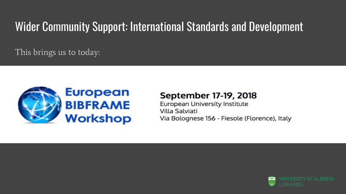### Wider Community Support: International Standards and Development

This brings us to today:



### September 17-19, 2018

**European University Institute Villa Salviati** Via Bolognese 156 - Fiesole (Florence), Italy